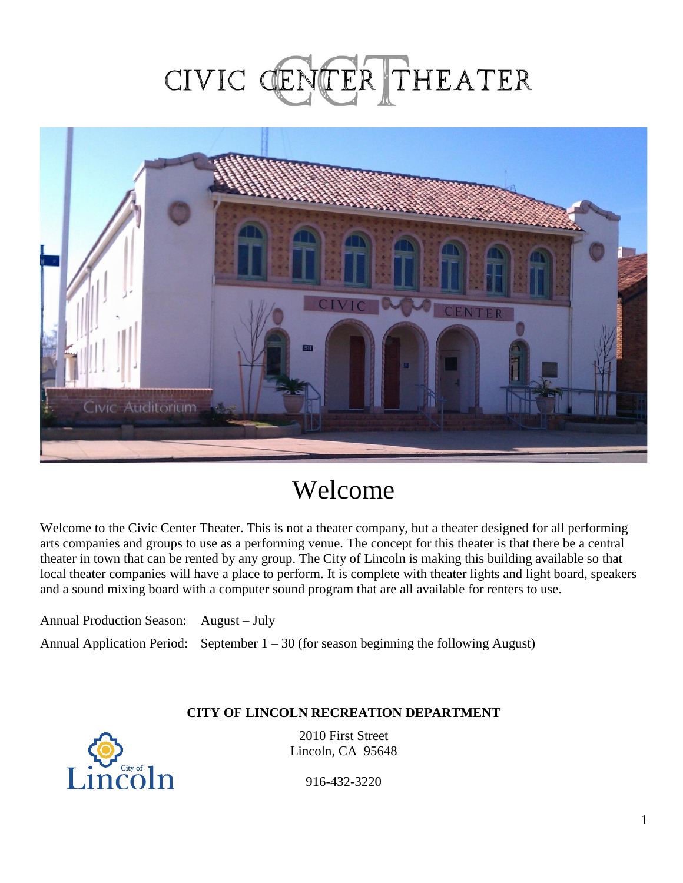# CIVIC CENTER THEATER



# Welcome

Welcome to the Civic Center Theater. This is not a theater company, but a theater designed for all performing arts companies and groups to use as a performing venue. The concept for this theater is that there be a central theater in town that can be rented by any group. The City of Lincoln is making this building available so that local theater companies will have a place to perform. It is complete with theater lights and light board, speakers and a sound mixing board with a computer sound program that are all available for renters to use.

Annual Production Season: August – July Annual Application Period: September  $1 - 30$  (for season beginning the following August)

#### **CITY OF LINCOLN RECREATION DEPARTMENT**



2010 First Street Lincoln, CA 95648

916-432-3220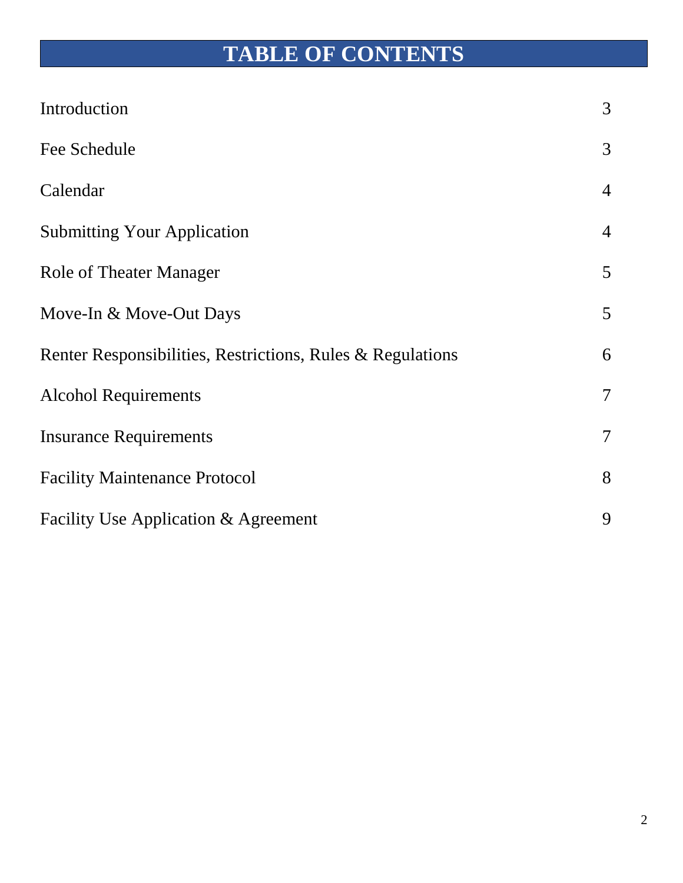# **TABLE OF CONTENTS**

| Introduction                                               | 3              |
|------------------------------------------------------------|----------------|
| Fee Schedule                                               | 3              |
| Calendar                                                   | $\overline{4}$ |
| <b>Submitting Your Application</b>                         | $\overline{4}$ |
| <b>Role of Theater Manager</b>                             | 5              |
| Move-In & Move-Out Days                                    | 5              |
| Renter Responsibilities, Restrictions, Rules & Regulations | 6              |
| <b>Alcohol Requirements</b>                                | $\overline{7}$ |
| <b>Insurance Requirements</b>                              | $\overline{7}$ |
| <b>Facility Maintenance Protocol</b>                       | 8              |
| Facility Use Application & Agreement                       | 9              |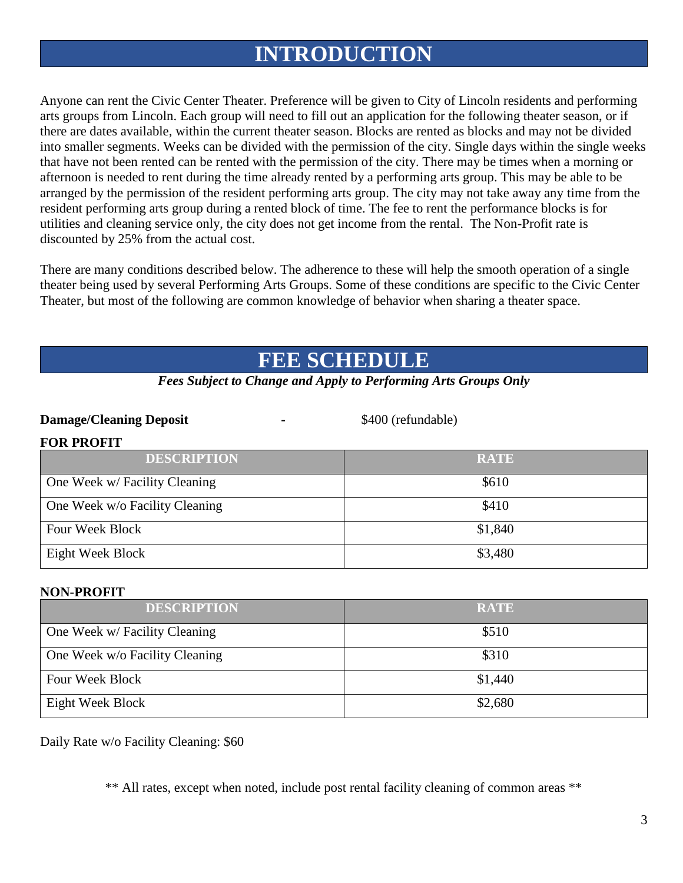## **INTRODUCTION**

Anyone can rent the Civic Center Theater. Preference will be given to City of Lincoln residents and performing arts groups from Lincoln. Each group will need to fill out an application for the following theater season, or if there are dates available, within the current theater season. Blocks are rented as blocks and may not be divided into smaller segments. Weeks can be divided with the permission of the city. Single days within the single weeks that have not been rented can be rented with the permission of the city. There may be times when a morning or afternoon is needed to rent during the time already rented by a performing arts group. This may be able to be arranged by the permission of the resident performing arts group. The city may not take away any time from the resident performing arts group during a rented block of time. The fee to rent the performance blocks is for utilities and cleaning service only, the city does not get income from the rental. The Non-Profit rate is discounted by 25% from the actual cost.

There are many conditions described below. The adherence to these will help the smooth operation of a single theater being used by several Performing Arts Groups. Some of these conditions are specific to the Civic Center Theater, but most of the following are common knowledge of behavior when sharing a theater space.

## **FEE SCHEDULE**

|  |  |  |  | <b>Fees Subject to Change and Apply to Performing Arts Groups Only</b> |  |  |  |
|--|--|--|--|------------------------------------------------------------------------|--|--|--|
|--|--|--|--|------------------------------------------------------------------------|--|--|--|

#### **Damage/Cleaning Deposit -** \$400 (refundable)

| <b>DESCRIPTION</b>             | <b>RATE</b> |
|--------------------------------|-------------|
| One Week w/ Facility Cleaning  | \$610       |
| One Week w/o Facility Cleaning | \$410       |
| Four Week Block                | \$1,840     |
| Eight Week Block               | \$3,480     |

#### **NON-PROFIT**

**FOR PROFIT**

| <b>DESCRIPTION</b>             | <b>RATE</b> |
|--------------------------------|-------------|
| One Week w/ Facility Cleaning  | \$510       |
| One Week w/o Facility Cleaning | \$310       |
| Four Week Block                | \$1,440     |
| Eight Week Block               | \$2,680     |

Daily Rate w/o Facility Cleaning: \$60

\*\* All rates, except when noted, include post rental facility cleaning of common areas \*\*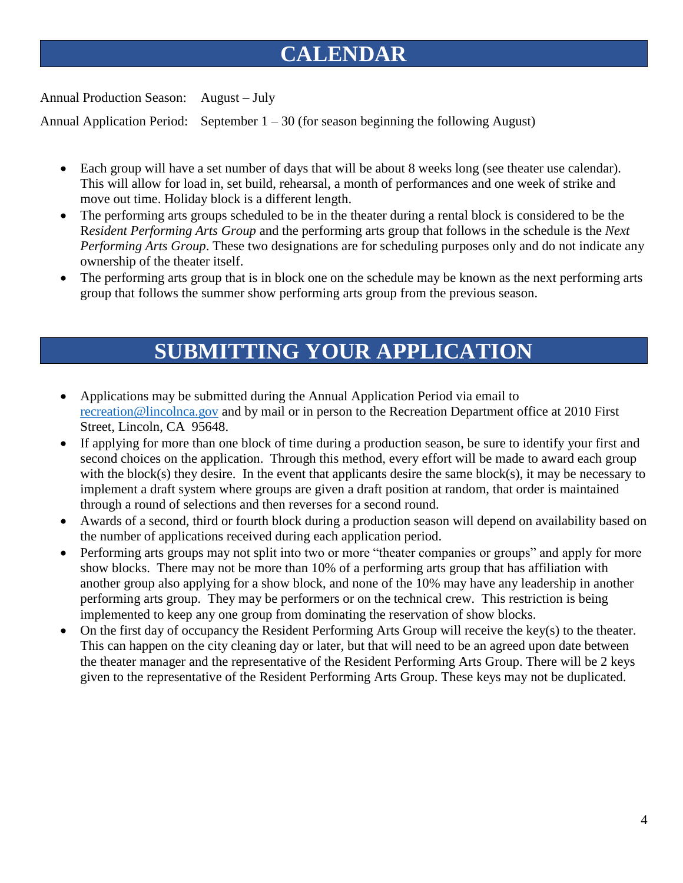# **CALENDAR**

Annual Production Season: August – July

Annual Application Period: September  $1 - 30$  (for season beginning the following August)

- Each group will have a set number of days that will be about 8 weeks long (see theater use calendar). This will allow for load in, set build, rehearsal, a month of performances and one week of strike and move out time. Holiday block is a different length.
- The performing arts groups scheduled to be in the theater during a rental block is considered to be the R*esident Performing Arts Group* and the performing arts group that follows in the schedule is the *Next Performing Arts Group*. These two designations are for scheduling purposes only and do not indicate any ownership of the theater itself.
- The performing arts group that is in block one on the schedule may be known as the next performing arts group that follows the summer show performing arts group from the previous season.

## **SUBMITTING YOUR APPLICATION**

- Applications may be submitted during the Annual Application Period via email to [recreation@lincolnca.gov](mailto:recreation@lincolnca.gov) and by mail or in person to the Recreation Department office at 2010 First Street, Lincoln, CA 95648.
- If applying for more than one block of time during a production season, be sure to identify your first and second choices on the application. Through this method, every effort will be made to award each group with the block(s) they desire. In the event that applicants desire the same block(s), it may be necessary to implement a draft system where groups are given a draft position at random, that order is maintained through a round of selections and then reverses for a second round.
- Awards of a second, third or fourth block during a production season will depend on availability based on the number of applications received during each application period.
- Performing arts groups may not split into two or more "theater companies or groups" and apply for more show blocks. There may not be more than 10% of a performing arts group that has affiliation with another group also applying for a show block, and none of the 10% may have any leadership in another performing arts group. They may be performers or on the technical crew. This restriction is being implemented to keep any one group from dominating the reservation of show blocks.
- On the first day of occupancy the Resident Performing Arts Group will receive the key(s) to the theater. This can happen on the city cleaning day or later, but that will need to be an agreed upon date between the theater manager and the representative of the Resident Performing Arts Group. There will be 2 keys given to the representative of the Resident Performing Arts Group. These keys may not be duplicated.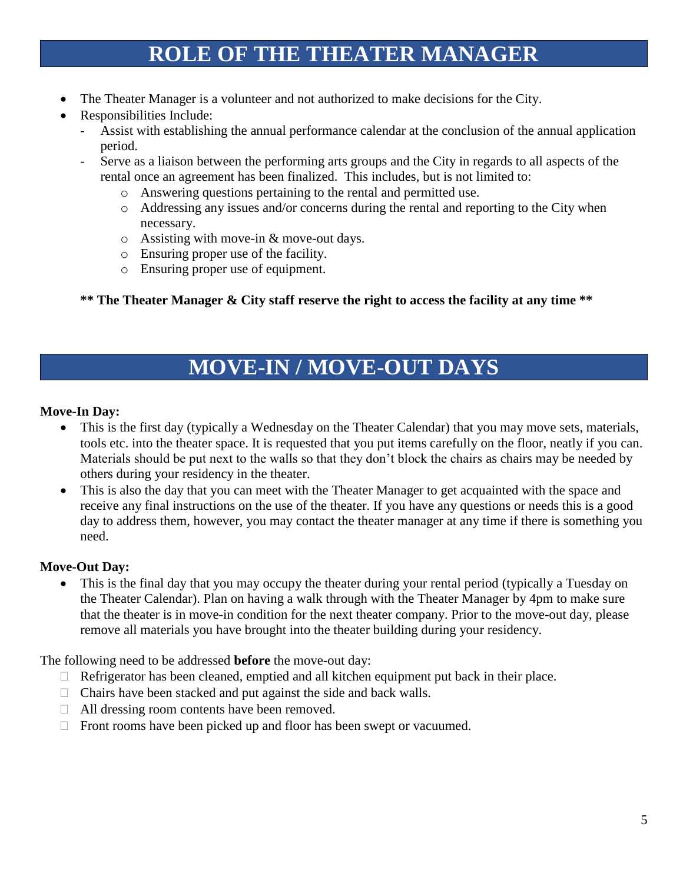## **ROLE OF THE THEATER MANAGER**

- The Theater Manager is a volunteer and not authorized to make decisions for the City.
- Responsibilities Include:
	- Assist with establishing the annual performance calendar at the conclusion of the annual application period.
	- Serve as a liaison between the performing arts groups and the City in regards to all aspects of the rental once an agreement has been finalized. This includes, but is not limited to:
		- o Answering questions pertaining to the rental and permitted use.
		- o Addressing any issues and/or concerns during the rental and reporting to the City when necessary.
		- o Assisting with move-in & move-out days.
		- o Ensuring proper use of the facility.
		- o Ensuring proper use of equipment.

**\*\* The Theater Manager & City staff reserve the right to access the facility at any time \*\***

## **MOVE-IN / MOVE-OUT DAYS**

#### **Move-In Day:**

- This is the first day (typically a Wednesday on the Theater Calendar) that you may move sets, materials, tools etc. into the theater space. It is requested that you put items carefully on the floor, neatly if you can. Materials should be put next to the walls so that they don't block the chairs as chairs may be needed by others during your residency in the theater.
- This is also the day that you can meet with the Theater Manager to get acquainted with the space and receive any final instructions on the use of the theater. If you have any questions or needs this is a good day to address them, however, you may contact the theater manager at any time if there is something you need.

#### **Move-Out Day:**

• This is the final day that you may occupy the theater during your rental period (typically a Tuesday on the Theater Calendar). Plan on having a walk through with the Theater Manager by 4pm to make sure that the theater is in move-in condition for the next theater company. Prior to the move-out day, please remove all materials you have brought into the theater building during your residency.

The following need to be addressed **before** the move-out day:

- $\Box$  Refrigerator has been cleaned, emptied and all kitchen equipment put back in their place.
- $\Box$  Chairs have been stacked and put against the side and back walls.
- □ All dressing room contents have been removed.
- $\Box$  Front rooms have been picked up and floor has been swept or vacuumed.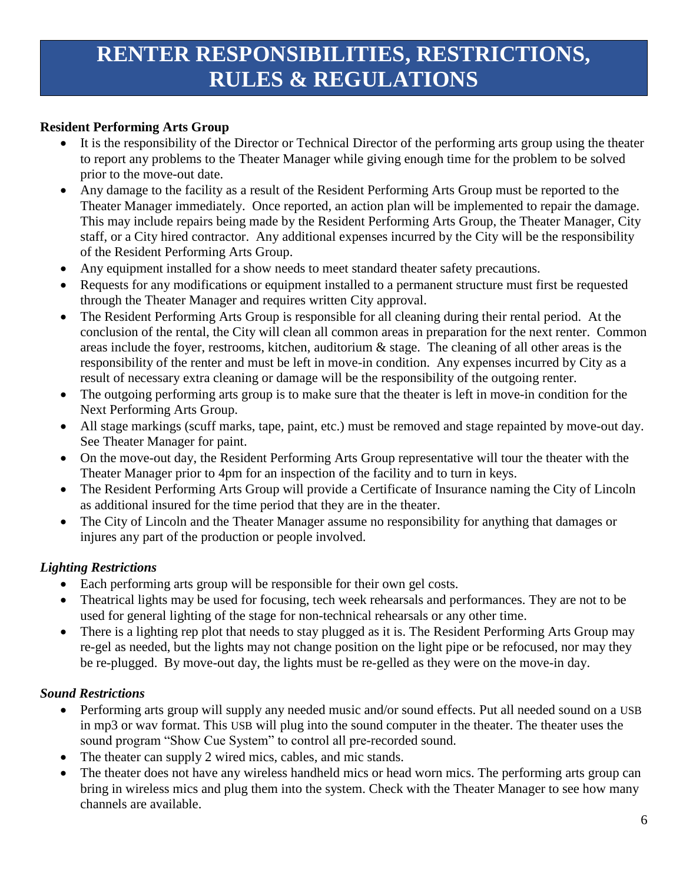# **RENTER RESPONSIBILITIES, RESTRICTIONS, RULES & REGULATIONS**

### **Resident Performing Arts Group**

- It is the responsibility of the Director or Technical Director of the performing arts group using the theater to report any problems to the Theater Manager while giving enough time for the problem to be solved prior to the move-out date.
- Any damage to the facility as a result of the Resident Performing Arts Group must be reported to the Theater Manager immediately. Once reported, an action plan will be implemented to repair the damage. This may include repairs being made by the Resident Performing Arts Group, the Theater Manager, City staff, or a City hired contractor. Any additional expenses incurred by the City will be the responsibility of the Resident Performing Arts Group.
- Any equipment installed for a show needs to meet standard theater safety precautions.
- Requests for any modifications or equipment installed to a permanent structure must first be requested through the Theater Manager and requires written City approval.
- The Resident Performing Arts Group is responsible for all cleaning during their rental period. At the conclusion of the rental, the City will clean all common areas in preparation for the next renter. Common areas include the foyer, restrooms, kitchen, auditorium & stage. The cleaning of all other areas is the responsibility of the renter and must be left in move-in condition. Any expenses incurred by City as a result of necessary extra cleaning or damage will be the responsibility of the outgoing renter.
- The outgoing performing arts group is to make sure that the theater is left in move-in condition for the Next Performing Arts Group.
- All stage markings (scuff marks, tape, paint, etc.) must be removed and stage repainted by move-out day. See Theater Manager for paint.
- On the move-out day, the Resident Performing Arts Group representative will tour the theater with the Theater Manager prior to 4pm for an inspection of the facility and to turn in keys.
- The Resident Performing Arts Group will provide a Certificate of Insurance naming the City of Lincoln as additional insured for the time period that they are in the theater.
- The City of Lincoln and the Theater Manager assume no responsibility for anything that damages or injures any part of the production or people involved.

## *Lighting Restrictions*

- Each performing arts group will be responsible for their own gel costs.
- Theatrical lights may be used for focusing, tech week rehearsals and performances. They are not to be used for general lighting of the stage for non-technical rehearsals or any other time.
- There is a lighting rep plot that needs to stay plugged as it is. The Resident Performing Arts Group may re-gel as needed, but the lights may not change position on the light pipe or be refocused, nor may they be re-plugged. By move-out day, the lights must be re-gelled as they were on the move-in day.

## *Sound Restrictions*

- Performing arts group will supply any needed music and/or sound effects. Put all needed sound on a USB in mp3 or wav format. This USB will plug into the sound computer in the theater. The theater uses the sound program "Show Cue System" to control all pre-recorded sound.
- The theater can supply 2 wired mics, cables, and mic stands.
- The theater does not have any wireless handheld mics or head worn mics. The performing arts group can bring in wireless mics and plug them into the system. Check with the Theater Manager to see how many channels are available.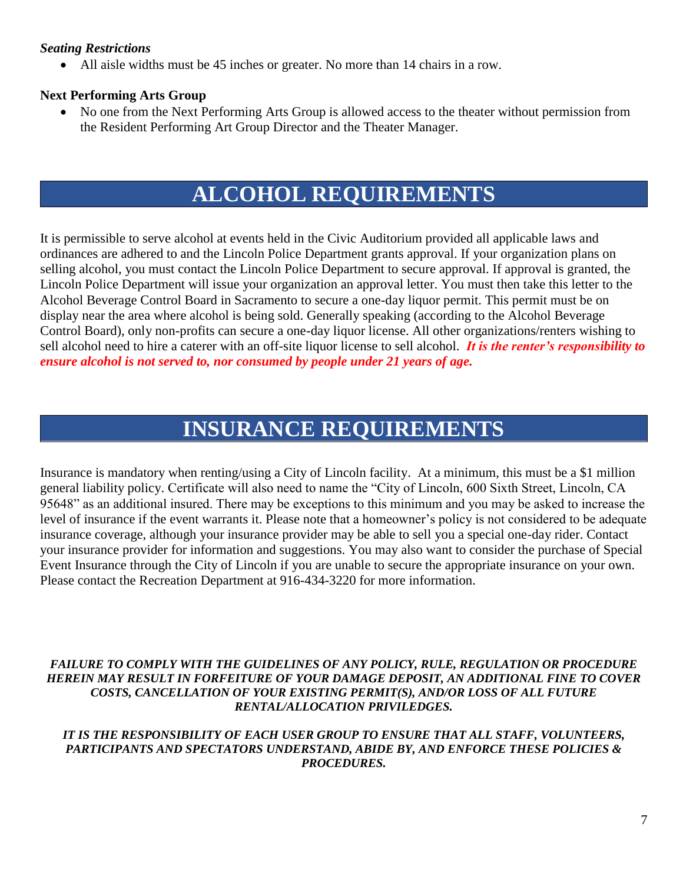#### *Seating Restrictions*

• All aisle widths must be 45 inches or greater. No more than 14 chairs in a row.

#### **Next Performing Arts Group**

• No one from the Next Performing Arts Group is allowed access to the theater without permission from the Resident Performing Art Group Director and the Theater Manager.

## **ALCOHOL REQUIREMENTS**

It is permissible to serve alcohol at events held in the Civic Auditorium provided all applicable laws and ordinances are adhered to and the Lincoln Police Department grants approval. If your organization plans on selling alcohol, you must contact the Lincoln Police Department to secure approval. If approval is granted, the Lincoln Police Department will issue your organization an approval letter. You must then take this letter to the Alcohol Beverage Control Board in Sacramento to secure a one-day liquor permit. This permit must be on display near the area where alcohol is being sold. Generally speaking (according to the Alcohol Beverage Control Board), only non-profits can secure a one-day liquor license. All other organizations/renters wishing to sell alcohol need to hire a caterer with an off-site liquor license to sell alcohol. *It is the renter's responsibility to ensure alcohol is not served to, nor consumed by people under 21 years of age.*

## **INSURANCE REQUIREMENTS**

Insurance is mandatory when renting/using a City of Lincoln facility. At a minimum, this must be a \$1 million general liability policy. Certificate will also need to name the "City of Lincoln, 600 Sixth Street, Lincoln, CA 95648" as an additional insured. There may be exceptions to this minimum and you may be asked to increase the level of insurance if the event warrants it. Please note that a homeowner's policy is not considered to be adequate insurance coverage, although your insurance provider may be able to sell you a special one-day rider. Contact your insurance provider for information and suggestions. You may also want to consider the purchase of Special Event Insurance through the City of Lincoln if you are unable to secure the appropriate insurance on your own. Please contact the Recreation Department at 916-434-3220 for more information.

*FAILURE TO COMPLY WITH THE GUIDELINES OF ANY POLICY, RULE, REGULATION OR PROCEDURE HEREIN MAY RESULT IN FORFEITURE OF YOUR DAMAGE DEPOSIT, AN ADDITIONAL FINE TO COVER COSTS, CANCELLATION OF YOUR EXISTING PERMIT(S), AND/OR LOSS OF ALL FUTURE RENTAL/ALLOCATION PRIVILEDGES.* 

#### *IT IS THE RESPONSIBILITY OF EACH USER GROUP TO ENSURE THAT ALL STAFF, VOLUNTEERS, PARTICIPANTS AND SPECTATORS UNDERSTAND, ABIDE BY, AND ENFORCE THESE POLICIES & PROCEDURES.*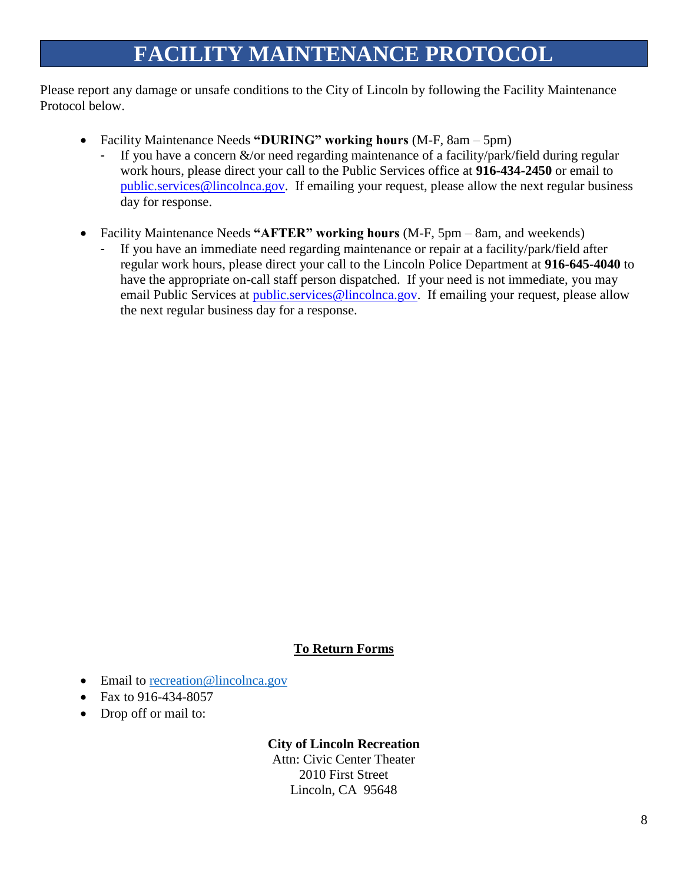# **FACILITY MAINTENANCE PROTOCOL**

Please report any damage or unsafe conditions to the City of Lincoln by following the Facility Maintenance Protocol below.

- Facility Maintenance Needs **"DURING" working hours** (M-F, 8am 5pm)
	- If you have a concern  $\&$ /or need regarding maintenance of a facility/park/field during regular work hours, please direct your call to the Public Services office at **916-434-2450** or email to [public.services@lincolnca.gov.](mailto:public.services@lincolnca.gov) If emailing your request, please allow the next regular business day for response.
- Facility Maintenance Needs **"AFTER" working hours** (M-F, 5pm 8am, and weekends)
	- If you have an immediate need regarding maintenance or repair at a facility/park/field after regular work hours, please direct your call to the Lincoln Police Department at **916-645-4040** to have the appropriate on-call staff person dispatched. If your need is not immediate, you may email Public Services at *public.services@lincolnca.gov.* If emailing your request, please allow the next regular business day for a response.

#### **To Return Forms**

- Email to [recreation@lincolnca.gov](mailto:recreation@lincolnca.gov)
- Fax to 916-434-8057
- Drop off or mail to:

#### **City of Lincoln Recreation**

Attn: Civic Center Theater 2010 First Street Lincoln, CA 95648